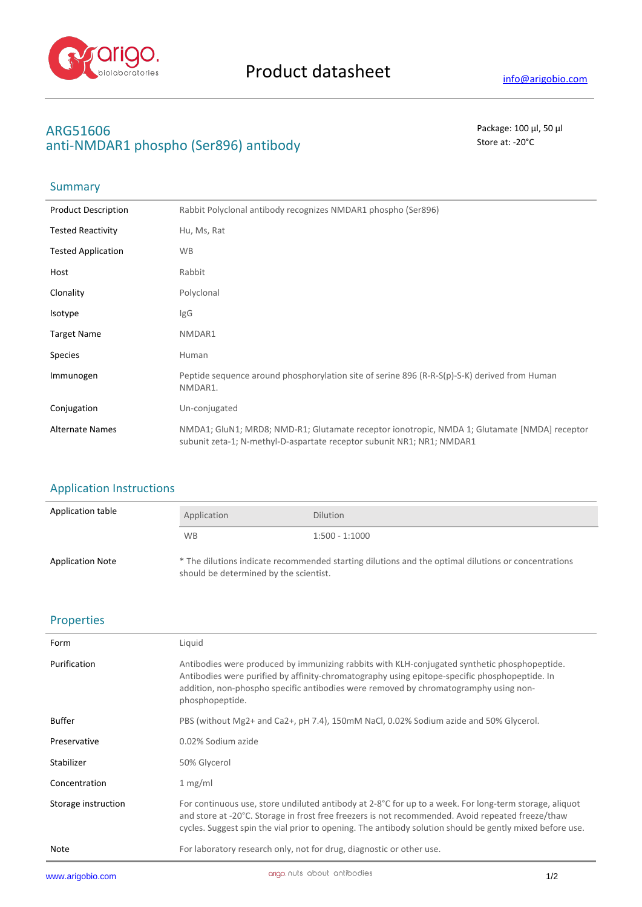

# **ARG51606** Package: 100 μl, 50 μl anti-NMDAR1 phospho (Ser896) antibody store at: -20<sup>°</sup>C

### **Summary**

| <b>Product Description</b> | Rabbit Polyclonal antibody recognizes NMDAR1 phospho (Ser896)                                                                                                          |
|----------------------------|------------------------------------------------------------------------------------------------------------------------------------------------------------------------|
| <b>Tested Reactivity</b>   | Hu, Ms, Rat                                                                                                                                                            |
| <b>Tested Application</b>  | <b>WB</b>                                                                                                                                                              |
| Host                       | Rabbit                                                                                                                                                                 |
| Clonality                  | Polyclonal                                                                                                                                                             |
| Isotype                    | IgG                                                                                                                                                                    |
| <b>Target Name</b>         | NMDAR1                                                                                                                                                                 |
| <b>Species</b>             | Human                                                                                                                                                                  |
| Immunogen                  | Peptide sequence around phosphorylation site of serine 896 (R-R-S(p)-S-K) derived from Human<br>NMDAR1.                                                                |
| Conjugation                | Un-conjugated                                                                                                                                                          |
| <b>Alternate Names</b>     | NMDA1; GluN1; MRD8; NMD-R1; Glutamate receptor ionotropic, NMDA 1; Glutamate [NMDA] receptor<br>subunit zeta-1; N-methyl-D-aspartate receptor subunit NR1; NR1; NMDAR1 |

### Application Instructions

| Application table       | Application                                                                                                                                   | <b>Dilution</b>  |
|-------------------------|-----------------------------------------------------------------------------------------------------------------------------------------------|------------------|
|                         | WB.                                                                                                                                           | $1:500 - 1:1000$ |
| <b>Application Note</b> | * The dilutions indicate recommended starting dilutions and the optimal dilutions or concentrations<br>should be determined by the scientist. |                  |

### Properties

| Form                | Liquid                                                                                                                                                                                                                                                                                                                  |
|---------------------|-------------------------------------------------------------------------------------------------------------------------------------------------------------------------------------------------------------------------------------------------------------------------------------------------------------------------|
| Purification        | Antibodies were produced by immunizing rabbits with KLH-conjugated synthetic phosphopeptide.<br>Antibodies were purified by affinity-chromatography using epitope-specific phosphopeptide. In<br>addition, non-phospho specific antibodies were removed by chromatogramphy using non-<br>phosphopeptide.                |
| <b>Buffer</b>       | PBS (without Mg2+ and Ca2+, pH 7.4), 150mM NaCl, 0.02% Sodium azide and 50% Glycerol.                                                                                                                                                                                                                                   |
| Preservative        | 0.02% Sodium azide                                                                                                                                                                                                                                                                                                      |
| Stabilizer          | 50% Glycerol                                                                                                                                                                                                                                                                                                            |
| Concentration       | 1 mg/ml                                                                                                                                                                                                                                                                                                                 |
| Storage instruction | For continuous use, store undiluted antibody at 2-8°C for up to a week. For long-term storage, aliquot<br>and store at -20°C. Storage in frost free freezers is not recommended. Avoid repeated freeze/thaw<br>cycles. Suggest spin the vial prior to opening. The antibody solution should be gently mixed before use. |
| Note                | For laboratory research only, not for drug, diagnostic or other use.                                                                                                                                                                                                                                                    |